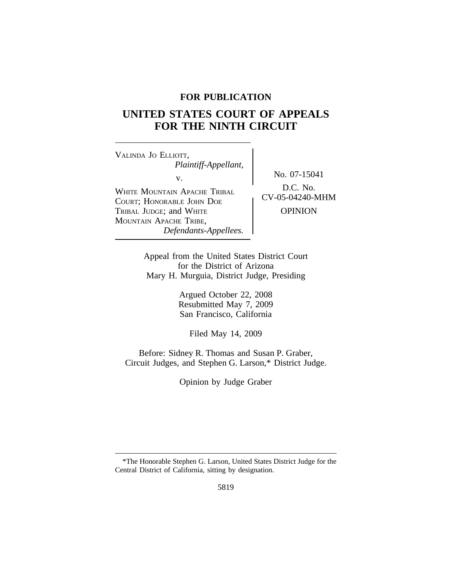## **FOR PUBLICATION**

# **UNITED STATES COURT OF APPEALS FOR THE NINTH CIRCUIT**

<sup>V</sup>ALINDA JO ELLIOTT, *Plaintiff-Appellant,* v.<br> $N_o$ , 07-15041<br>D.C. No. WHITE MOUNTAIN APACHE TRIBAL POUSE D.C. NO.<br>COURT: HOUGHANT LOUN DOT COURT; HONORABLE JOHN DOE TRIBAL JUDGE; and WHITE **OPINION** MOUNTAIN APACHE TRIBE, *Defendants-Appellees.*

Appeal from the United States District Court for the District of Arizona Mary H. Murguia, District Judge, Presiding

> Argued October 22, 2008 Resubmitted May 7, 2009 San Francisco, California

> > Filed May 14, 2009

Before: Sidney R. Thomas and Susan P. Graber, Circuit Judges, and Stephen G. Larson,\* District Judge.

Opinion by Judge Graber

<sup>\*</sup>The Honorable Stephen G. Larson, United States District Judge for the Central District of California, sitting by designation.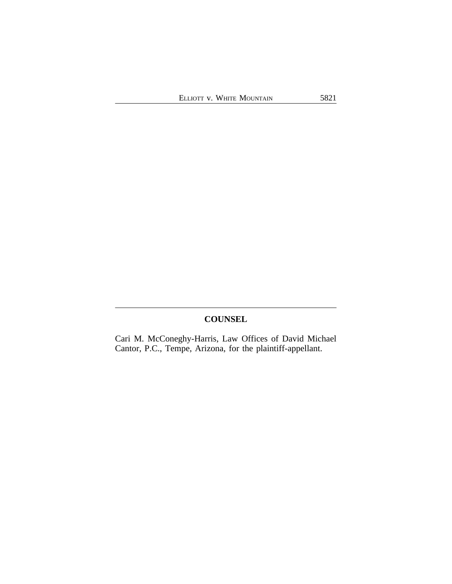## **COUNSEL**

Cari M. McConeghy-Harris, Law Offices of David Michael Cantor, P.C., Tempe, Arizona, for the plaintiff-appellant.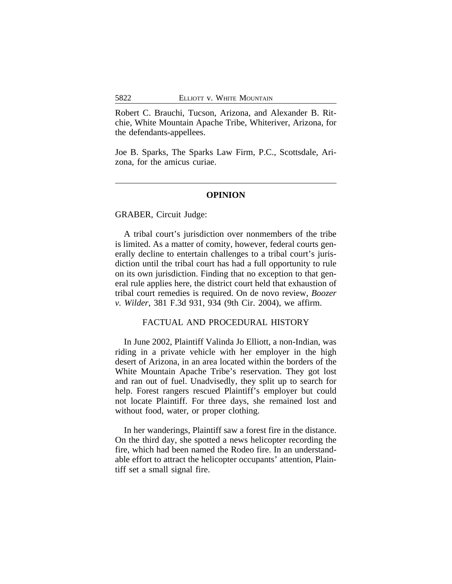Robert C. Brauchi, Tucson, Arizona, and Alexander B. Ritchie, White Mountain Apache Tribe, Whiteriver, Arizona, for the defendants-appellees.

Joe B. Sparks, The Sparks Law Firm, P.C., Scottsdale, Arizona, for the amicus curiae.

#### **OPINION**

GRABER, Circuit Judge:

A tribal court's jurisdiction over nonmembers of the tribe is limited. As a matter of comity, however, federal courts generally decline to entertain challenges to a tribal court's jurisdiction until the tribal court has had a full opportunity to rule on its own jurisdiction. Finding that no exception to that general rule applies here, the district court held that exhaustion of tribal court remedies is required. On de novo review, *Boozer v. Wilder*, 381 F.3d 931, 934 (9th Cir. 2004), we affirm.

#### FACTUAL AND PROCEDURAL HISTORY

In June 2002, Plaintiff Valinda Jo Elliott, a non-Indian, was riding in a private vehicle with her employer in the high desert of Arizona, in an area located within the borders of the White Mountain Apache Tribe's reservation. They got lost and ran out of fuel. Unadvisedly, they split up to search for help. Forest rangers rescued Plaintiff's employer but could not locate Plaintiff. For three days, she remained lost and without food, water, or proper clothing.

In her wanderings, Plaintiff saw a forest fire in the distance. On the third day, she spotted a news helicopter recording the fire, which had been named the Rodeo fire. In an understandable effort to attract the helicopter occupants' attention, Plaintiff set a small signal fire.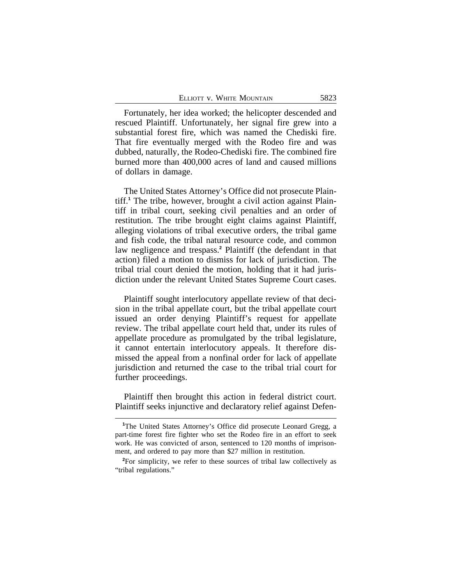Fortunately, her idea worked; the helicopter descended and rescued Plaintiff. Unfortunately, her signal fire grew into a substantial forest fire, which was named the Chediski fire. That fire eventually merged with the Rodeo fire and was dubbed, naturally, the Rodeo-Chediski fire. The combined fire burned more than 400,000 acres of land and caused millions of dollars in damage.

The United States Attorney's Office did not prosecute Plaintiff.**<sup>1</sup>** The tribe, however, brought a civil action against Plaintiff in tribal court, seeking civil penalties and an order of restitution. The tribe brought eight claims against Plaintiff, alleging violations of tribal executive orders, the tribal game and fish code, the tribal natural resource code, and common law negligence and trespass.**<sup>2</sup>** Plaintiff (the defendant in that action) filed a motion to dismiss for lack of jurisdiction. The tribal trial court denied the motion, holding that it had jurisdiction under the relevant United States Supreme Court cases.

Plaintiff sought interlocutory appellate review of that decision in the tribal appellate court, but the tribal appellate court issued an order denying Plaintiff's request for appellate review. The tribal appellate court held that, under its rules of appellate procedure as promulgated by the tribal legislature, it cannot entertain interlocutory appeals. It therefore dismissed the appeal from a nonfinal order for lack of appellate jurisdiction and returned the case to the tribal trial court for further proceedings.

Plaintiff then brought this action in federal district court. Plaintiff seeks injunctive and declaratory relief against Defen-

**<sup>1</sup>**The United States Attorney's Office did prosecute Leonard Gregg, a part-time forest fire fighter who set the Rodeo fire in an effort to seek work. He was convicted of arson, sentenced to 120 months of imprisonment, and ordered to pay more than \$27 million in restitution.

**<sup>2</sup>**For simplicity, we refer to these sources of tribal law collectively as "tribal regulations."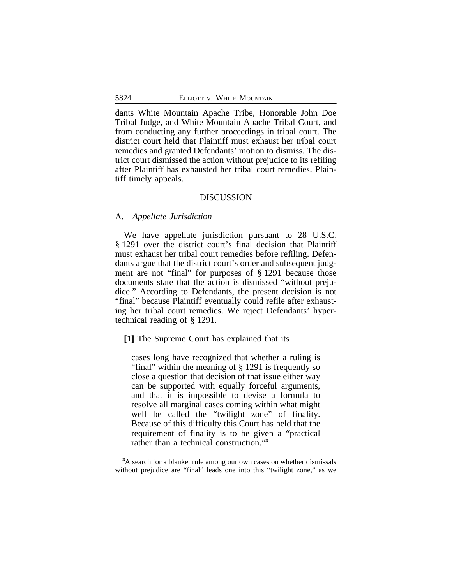dants White Mountain Apache Tribe, Honorable John Doe Tribal Judge, and White Mountain Apache Tribal Court, and from conducting any further proceedings in tribal court. The district court held that Plaintiff must exhaust her tribal court remedies and granted Defendants' motion to dismiss. The district court dismissed the action without prejudice to its refiling after Plaintiff has exhausted her tribal court remedies. Plaintiff timely appeals.

#### DISCUSSION

#### A. *Appellate Jurisdiction*

We have appellate jurisdiction pursuant to 28 U.S.C. § 1291 over the district court's final decision that Plaintiff must exhaust her tribal court remedies before refiling. Defendants argue that the district court's order and subsequent judgment are not "final" for purposes of § 1291 because those documents state that the action is dismissed "without prejudice." According to Defendants, the present decision is not "final" because Plaintiff eventually could refile after exhausting her tribal court remedies. We reject Defendants' hypertechnical reading of § 1291.

**[1]** The Supreme Court has explained that its

cases long have recognized that whether a ruling is "final" within the meaning of § 1291 is frequently so close a question that decision of that issue either way can be supported with equally forceful arguments, and that it is impossible to devise a formula to resolve all marginal cases coming within what might well be called the "twilight zone" of finality. Because of this difficulty this Court has held that the requirement of finality is to be given a "practical rather than a technical construction." **3**

**<sup>3</sup>**A search for a blanket rule among our own cases on whether dismissals without prejudice are "final" leads one into this "twilight zone," as we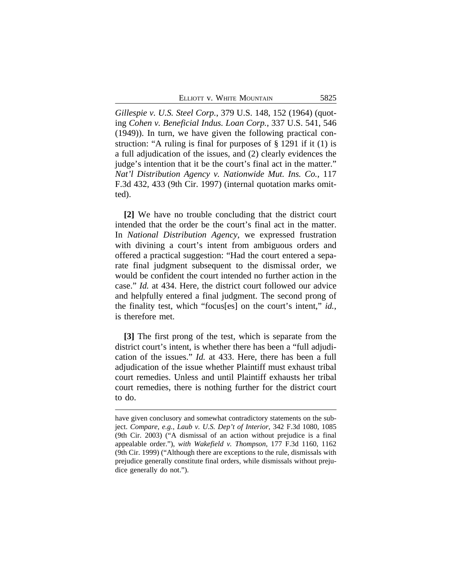ELLIOTT V. WHITE MOUNTAIN 5825

*Gillespie v. U.S. Steel Corp.*, 379 U.S. 148, 152 (1964) (quoting *Cohen v. Beneficial Indus. Loan Corp.*, 337 U.S. 541, 546 (1949)). In turn, we have given the following practical construction: "A ruling is final for purposes of § 1291 if it (1) is a full adjudication of the issues, and (2) clearly evidences the judge's intention that it be the court's final act in the matter." *Nat'l Distribution Agency v. Nationwide Mut. Ins. Co.*, 117 F.3d 432, 433 (9th Cir. 1997) (internal quotation marks omitted).

**[2]** We have no trouble concluding that the district court intended that the order be the court's final act in the matter. In *National Distribution Agency*, we expressed frustration with divining a court's intent from ambiguous orders and offered a practical suggestion: "Had the court entered a separate final judgment subsequent to the dismissal order, we would be confident the court intended no further action in the case." *Id.* at 434. Here, the district court followed our advice and helpfully entered a final judgment. The second prong of the finality test, which "focus[es] on the court's intent," *id.*, is therefore met.

**[3]** The first prong of the test, which is separate from the district court's intent, is whether there has been a "full adjudication of the issues." *Id.* at 433. Here, there has been a full adjudication of the issue whether Plaintiff must exhaust tribal court remedies. Unless and until Plaintiff exhausts her tribal court remedies, there is nothing further for the district court to do.

have given conclusory and somewhat contradictory statements on the subject. *Compare, e.g.*, *Laub v. U.S. Dep't of Interior*, 342 F.3d 1080, 1085 (9th Cir. 2003) ("A dismissal of an action without prejudice is a final appealable order."), *with Wakefield v. Thompson*, 177 F.3d 1160, 1162 (9th Cir. 1999) ("Although there are exceptions to the rule, dismissals with prejudice generally constitute final orders, while dismissals without prejudice generally do not.").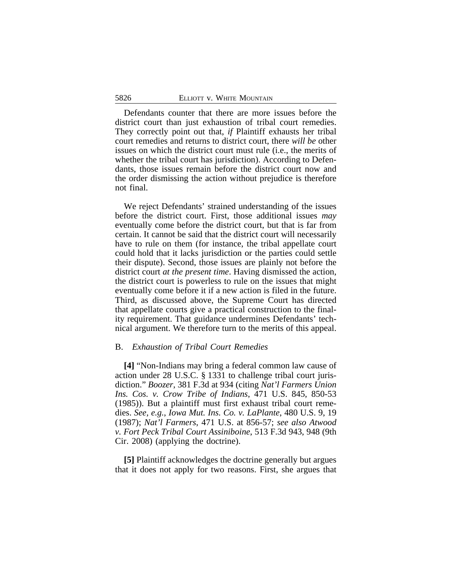Defendants counter that there are more issues before the district court than just exhaustion of tribal court remedies. They correctly point out that, *if* Plaintiff exhausts her tribal court remedies and returns to district court, there *will be* other issues on which the district court must rule (i.e., the merits of whether the tribal court has jurisdiction). According to Defendants, those issues remain before the district court now and the order dismissing the action without prejudice is therefore not final.

We reject Defendants' strained understanding of the issues before the district court. First, those additional issues *may* eventually come before the district court, but that is far from certain. It cannot be said that the district court will necessarily have to rule on them (for instance, the tribal appellate court could hold that it lacks jurisdiction or the parties could settle their dispute). Second, those issues are plainly not before the district court *at the present time*. Having dismissed the action, the district court is powerless to rule on the issues that might eventually come before it if a new action is filed in the future. Third, as discussed above, the Supreme Court has directed that appellate courts give a practical construction to the finality requirement. That guidance undermines Defendants' technical argument. We therefore turn to the merits of this appeal.

#### B. *Exhaustion of Tribal Court Remedies*

**[4]** "Non-Indians may bring a federal common law cause of action under 28 U.S.C. § 1331 to challenge tribal court jurisdiction." *Boozer*, 381 F.3d at 934 (citing *Nat'l Farmers Union Ins. Cos. v. Crow Tribe of Indians*, 471 U.S. 845, 850-53 (1985)). But a plaintiff must first exhaust tribal court remedies. *See, e.g.*, *Iowa Mut. Ins. Co. v. LaPlante*, 480 U.S. 9, 19 (1987); *Nat'l Farmers*, 471 U.S. at 856-57; *see also Atwood v. Fort Peck Tribal Court Assiniboine*, 513 F.3d 943, 948 (9th Cir. 2008) (applying the doctrine).

**[5]** Plaintiff acknowledges the doctrine generally but argues that it does not apply for two reasons. First, she argues that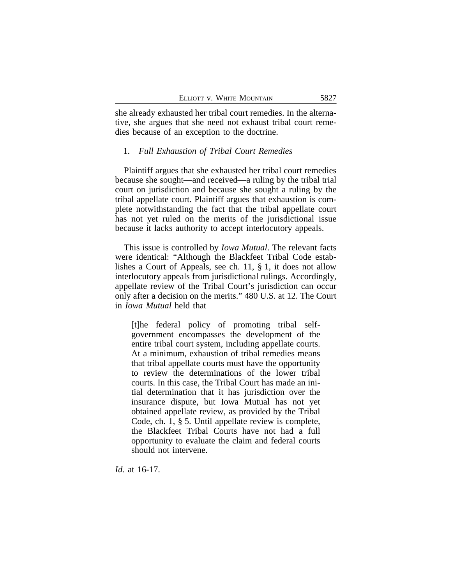she already exhausted her tribal court remedies. In the alternative, she argues that she need not exhaust tribal court remedies because of an exception to the doctrine.

#### 1. *Full Exhaustion of Tribal Court Remedies*

Plaintiff argues that she exhausted her tribal court remedies because she sought—and received—a ruling by the tribal trial court on jurisdiction and because she sought a ruling by the tribal appellate court. Plaintiff argues that exhaustion is complete notwithstanding the fact that the tribal appellate court has not yet ruled on the merits of the jurisdictional issue because it lacks authority to accept interlocutory appeals.

This issue is controlled by *Iowa Mutual*. The relevant facts were identical: "Although the Blackfeet Tribal Code establishes a Court of Appeals, see ch. 11, § 1, it does not allow interlocutory appeals from jurisdictional rulings. Accordingly, appellate review of the Tribal Court's jurisdiction can occur only after a decision on the merits." 480 U.S. at 12. The Court in *Iowa Mutual* held that

[t]he federal policy of promoting tribal selfgovernment encompasses the development of the entire tribal court system, including appellate courts. At a minimum, exhaustion of tribal remedies means that tribal appellate courts must have the opportunity to review the determinations of the lower tribal courts. In this case, the Tribal Court has made an initial determination that it has jurisdiction over the insurance dispute, but Iowa Mutual has not yet obtained appellate review, as provided by the Tribal Code, ch. 1, § 5. Until appellate review is complete, the Blackfeet Tribal Courts have not had a full opportunity to evaluate the claim and federal courts should not intervene.

*Id.* at 16-17.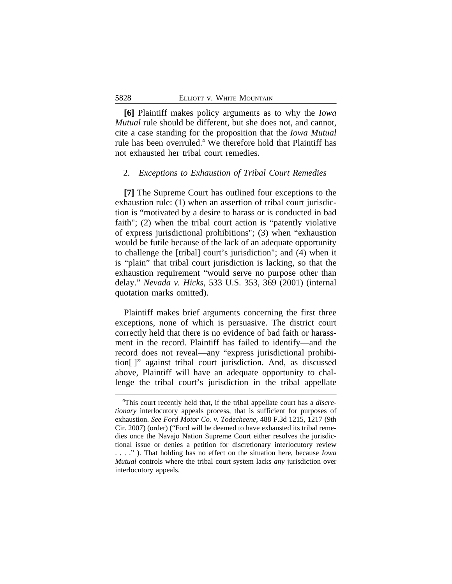**[6]** Plaintiff makes policy arguments as to why the *Iowa Mutual* rule should be different, but she does not, and cannot, cite a case standing for the proposition that the *Iowa Mutual* rule has been overruled.**<sup>4</sup>** We therefore hold that Plaintiff has not exhausted her tribal court remedies.

#### 2. *Exceptions to Exhaustion of Tribal Court Remedies*

**[7]** The Supreme Court has outlined four exceptions to the exhaustion rule: (1) when an assertion of tribal court jurisdiction is "motivated by a desire to harass or is conducted in bad faith"; (2) when the tribal court action is "patently violative of express jurisdictional prohibitions"; (3) when "exhaustion would be futile because of the lack of an adequate opportunity to challenge the [tribal] court's jurisdiction"; and (4) when it is "plain" that tribal court jurisdiction is lacking, so that the exhaustion requirement "would serve no purpose other than delay." *Nevada v. Hicks*, 533 U.S. 353, 369 (2001) (internal quotation marks omitted).

Plaintiff makes brief arguments concerning the first three exceptions, none of which is persuasive. The district court correctly held that there is no evidence of bad faith or harassment in the record. Plaintiff has failed to identify—and the record does not reveal—any "express jurisdictional prohibition[ ]" against tribal court jurisdiction. And, as discussed above, Plaintiff will have an adequate opportunity to challenge the tribal court's jurisdiction in the tribal appellate

**<sup>4</sup>**This court recently held that, if the tribal appellate court has a *discretionary* interlocutory appeals process, that is sufficient for purposes of exhaustion. *See Ford Motor Co. v. Todecheene*, 488 F.3d 1215, 1217 (9th Cir. 2007) (order) ("Ford will be deemed to have exhausted its tribal remedies once the Navajo Nation Supreme Court either resolves the jurisdictional issue or denies a petition for discretionary interlocutory review . . . ." ). That holding has no effect on the situation here, because *Iowa Mutual* controls where the tribal court system lacks *any* jurisdiction over interlocutory appeals.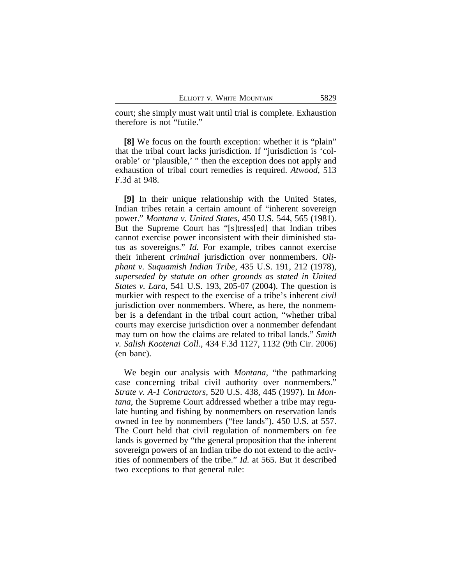court; she simply must wait until trial is complete. Exhaustion therefore is not "futile."

**[8]** We focus on the fourth exception: whether it is "plain" that the tribal court lacks jurisdiction. If "jurisdiction is 'colorable' or 'plausible,' " then the exception does not apply and exhaustion of tribal court remedies is required. *Atwood*, 513 F.3d at 948.

**[9]** In their unique relationship with the United States, Indian tribes retain a certain amount of "inherent sovereign power." *Montana v. United States*, 450 U.S. 544, 565 (1981). But the Supreme Court has "[s]tress[ed] that Indian tribes cannot exercise power inconsistent with their diminished status as sovereigns." *Id.* For example, tribes cannot exercise their inherent *criminal* jurisdiction over nonmembers. *Oliphant v. Suquamish Indian Tribe*, 435 U.S. 191, 212 (1978), *superseded by statute on other grounds as stated in United States v. Lara*, 541 U.S. 193, 205-07 (2004). The question is murkier with respect to the exercise of a tribe's inherent *civil* jurisdiction over nonmembers. Where, as here, the nonmember is a defendant in the tribal court action, "whether tribal courts may exercise jurisdiction over a nonmember defendant may turn on how the claims are related to tribal lands." *Smith v. Salish Kootenai Coll.*, 434 F.3d 1127, 1132 (9th Cir. 2006) (en banc).

We begin our analysis with *Montana*, "the pathmarking case concerning tribal civil authority over nonmembers." *Strate v. A-1 Contractors*, 520 U.S. 438, 445 (1997). In *Montana*, the Supreme Court addressed whether a tribe may regulate hunting and fishing by nonmembers on reservation lands owned in fee by nonmembers ("fee lands"). 450 U.S. at 557. The Court held that civil regulation of nonmembers on fee lands is governed by "the general proposition that the inherent sovereign powers of an Indian tribe do not extend to the activities of nonmembers of the tribe." *Id.* at 565. But it described two exceptions to that general rule: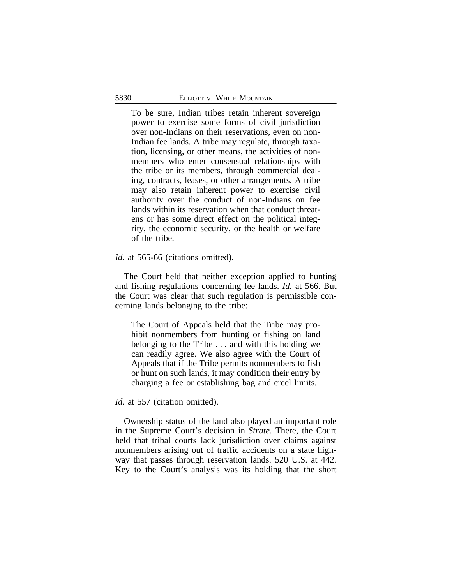To be sure, Indian tribes retain inherent sovereign power to exercise some forms of civil jurisdiction over non-Indians on their reservations, even on non-Indian fee lands. A tribe may regulate, through taxation, licensing, or other means, the activities of nonmembers who enter consensual relationships with the tribe or its members, through commercial dealing, contracts, leases, or other arrangements. A tribe may also retain inherent power to exercise civil authority over the conduct of non-Indians on fee lands within its reservation when that conduct threatens or has some direct effect on the political integrity, the economic security, or the health or welfare of the tribe.

#### *Id.* at 565-66 (citations omitted).

The Court held that neither exception applied to hunting and fishing regulations concerning fee lands. *Id.* at 566. But the Court was clear that such regulation is permissible concerning lands belonging to the tribe:

The Court of Appeals held that the Tribe may prohibit nonmembers from hunting or fishing on land belonging to the Tribe . . . and with this holding we can readily agree. We also agree with the Court of Appeals that if the Tribe permits nonmembers to fish or hunt on such lands, it may condition their entry by charging a fee or establishing bag and creel limits.

### Id. at 557 (citation omitted).

Ownership status of the land also played an important role in the Supreme Court's decision in *Strate*. There, the Court held that tribal courts lack jurisdiction over claims against nonmembers arising out of traffic accidents on a state highway that passes through reservation lands. 520 U.S. at 442. Key to the Court's analysis was its holding that the short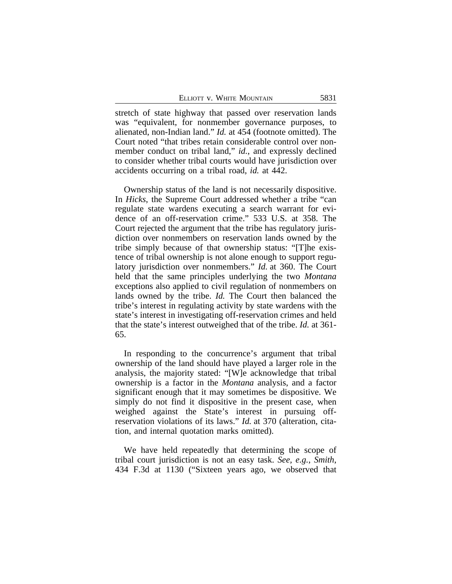stretch of state highway that passed over reservation lands was "equivalent, for nonmember governance purposes, to alienated, non-Indian land." *Id.* at 454 (footnote omitted). The Court noted "that tribes retain considerable control over nonmember conduct on tribal land," *id.*, and expressly declined to consider whether tribal courts would have jurisdiction over accidents occurring on a tribal road, *id.* at 442.

Ownership status of the land is not necessarily dispositive. In *Hicks*, the Supreme Court addressed whether a tribe "can regulate state wardens executing a search warrant for evidence of an off-reservation crime." 533 U.S. at 358. The Court rejected the argument that the tribe has regulatory jurisdiction over nonmembers on reservation lands owned by the tribe simply because of that ownership status: "[T]he existence of tribal ownership is not alone enough to support regulatory jurisdiction over nonmembers." *Id.* at 360. The Court held that the same principles underlying the two *Montana* exceptions also applied to civil regulation of nonmembers on lands owned by the tribe. *Id.* The Court then balanced the tribe's interest in regulating activity by state wardens with the state's interest in investigating off-reservation crimes and held that the state's interest outweighed that of the tribe. *Id.* at 361- 65.

In responding to the concurrence's argument that tribal ownership of the land should have played a larger role in the analysis, the majority stated: "[W]e acknowledge that tribal ownership is a factor in the *Montana* analysis, and a factor significant enough that it may sometimes be dispositive. We simply do not find it dispositive in the present case, when weighed against the State's interest in pursuing offreservation violations of its laws." *Id.* at 370 (alteration, citation, and internal quotation marks omitted).

We have held repeatedly that determining the scope of tribal court jurisdiction is not an easy task. *See, e.g.*, *Smith*, 434 F.3d at 1130 ("Sixteen years ago, we observed that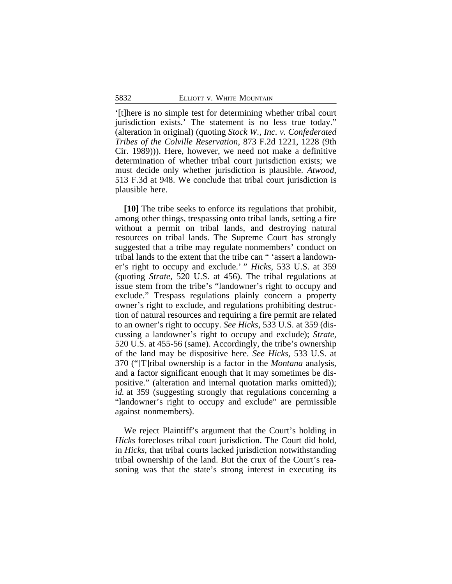'[t]here is no simple test for determining whether tribal court jurisdiction exists.' The statement is no less true today." (alteration in original) (quoting *Stock W., Inc. v. Confederated Tribes of the Colville Reservation*, 873 F.2d 1221, 1228 (9th Cir. 1989))). Here, however, we need not make a definitive determination of whether tribal court jurisdiction exists; we must decide only whether jurisdiction is plausible. *Atwood*, 513 F.3d at 948. We conclude that tribal court jurisdiction is plausible here.

**[10]** The tribe seeks to enforce its regulations that prohibit, among other things, trespassing onto tribal lands, setting a fire without a permit on tribal lands, and destroying natural resources on tribal lands. The Supreme Court has strongly suggested that a tribe may regulate nonmembers' conduct on tribal lands to the extent that the tribe can " 'assert a landowner's right to occupy and exclude.' " *Hicks*, 533 U.S. at 359 (quoting *Strate*, 520 U.S. at 456). The tribal regulations at issue stem from the tribe's "landowner's right to occupy and exclude." Trespass regulations plainly concern a property owner's right to exclude, and regulations prohibiting destruction of natural resources and requiring a fire permit are related to an owner's right to occupy. *See Hicks*, 533 U.S. at 359 (discussing a landowner's right to occupy and exclude); *Strate*, 520 U.S. at 455-56 (same). Accordingly, the tribe's ownership of the land may be dispositive here. *See Hicks*, 533 U.S. at 370 ("[T]ribal ownership is a factor in the *Montana* analysis, and a factor significant enough that it may sometimes be dispositive." (alteration and internal quotation marks omitted)); *id.* at 359 (suggesting strongly that regulations concerning a "landowner's right to occupy and exclude" are permissible against nonmembers).

We reject Plaintiff's argument that the Court's holding in *Hicks* forecloses tribal court jurisdiction. The Court did hold, in *Hicks*, that tribal courts lacked jurisdiction notwithstanding tribal ownership of the land. But the crux of the Court's reasoning was that the state's strong interest in executing its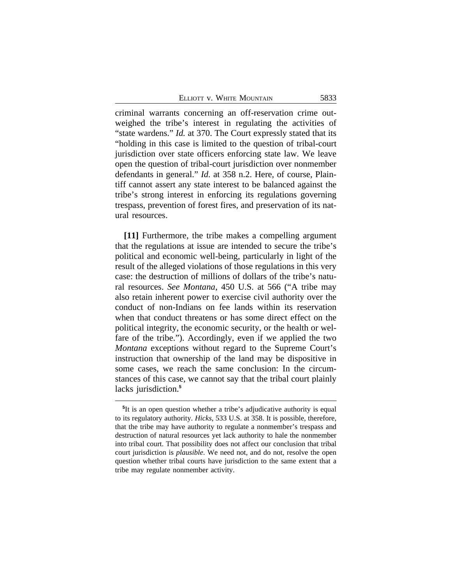| ELLIOTT V. WHITE MOUNTAIN | 5833 |
|---------------------------|------|
|                           |      |

criminal warrants concerning an off-reservation crime outweighed the tribe's interest in regulating the activities of "state wardens." *Id.* at 370. The Court expressly stated that its "holding in this case is limited to the question of tribal-court jurisdiction over state officers enforcing state law. We leave open the question of tribal-court jurisdiction over nonmember defendants in general." *Id.* at 358 n.2. Here, of course, Plaintiff cannot assert any state interest to be balanced against the tribe's strong interest in enforcing its regulations governing trespass, prevention of forest fires, and preservation of its natural resources.

**[11]** Furthermore, the tribe makes a compelling argument that the regulations at issue are intended to secure the tribe's political and economic well-being, particularly in light of the result of the alleged violations of those regulations in this very case: the destruction of millions of dollars of the tribe's natural resources. *See Montana*, 450 U.S. at 566 ("A tribe may also retain inherent power to exercise civil authority over the conduct of non-Indians on fee lands within its reservation when that conduct threatens or has some direct effect on the political integrity, the economic security, or the health or welfare of the tribe."). Accordingly, even if we applied the two *Montana* exceptions without regard to the Supreme Court's instruction that ownership of the land may be dispositive in some cases, we reach the same conclusion: In the circumstances of this case, we cannot say that the tribal court plainly lacks jurisdiction.**<sup>5</sup>**

**<sup>5</sup>** It is an open question whether a tribe's adjudicative authority is equal to its regulatory authority. *Hicks*, 533 U.S. at 358. It is possible, therefore, that the tribe may have authority to regulate a nonmember's trespass and destruction of natural resources yet lack authority to hale the nonmember into tribal court. That possibility does not affect our conclusion that tribal court jurisdiction is *plausible*. We need not, and do not, resolve the open question whether tribal courts have jurisdiction to the same extent that a tribe may regulate nonmember activity.